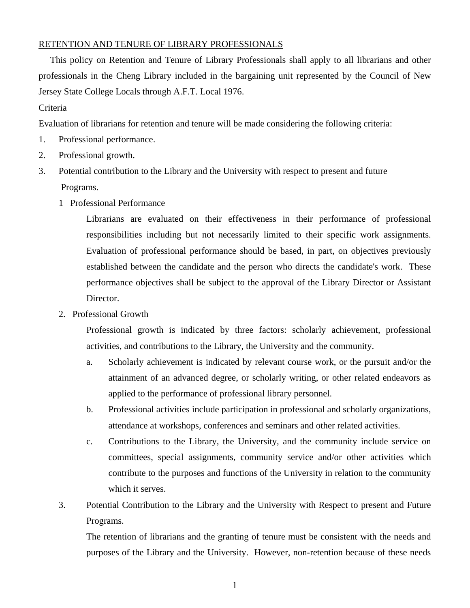## RETENTION AND TENURE OF LIBRARY PROFESSIONALS

 This policy on Retention and Tenure of Library Professionals shall apply to all librarians and other professionals in the Cheng Library included in the bargaining unit represented by the Council of New Jersey State College Locals through A.F.T. Local 1976.

## Criteria

Evaluation of librarians for retention and tenure will be made considering the following criteria:

- 1. Professional performance.
- 2. Professional growth.
- 3. Potential contribution to the Library and the University with respect to present and future Programs.
	- 1 Professional Performance

Librarians are evaluated on their effectiveness in their performance of professional responsibilities including but not necessarily limited to their specific work assignments. Evaluation of professional performance should be based, in part, on objectives previously established between the candidate and the person who directs the candidate's work. These performance objectives shall be subject to the approval of the Library Director or Assistant Director.

2. Professional Growth

Professional growth is indicated by three factors: scholarly achievement, professional activities, and contributions to the Library, the University and the community.

- a. Scholarly achievement is indicated by relevant course work, or the pursuit and/or the attainment of an advanced degree, or scholarly writing, or other related endeavors as applied to the performance of professional library personnel.
- b. Professional activities include participation in professional and scholarly organizations, attendance at workshops, conferences and seminars and other related activities.
- c. Contributions to the Library, the University, and the community include service on committees, special assignments, community service and/or other activities which contribute to the purposes and functions of the University in relation to the community which it serves.
- 3. Potential Contribution to the Library and the University with Respect to present and Future Programs.

The retention of librarians and the granting of tenure must be consistent with the needs and purposes of the Library and the University. However, non-retention because of these needs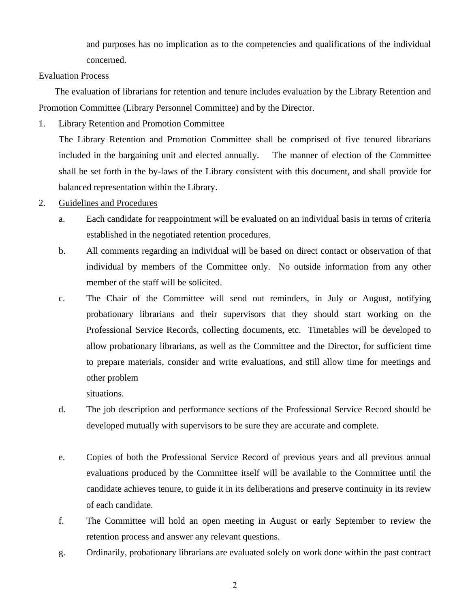and purposes has no implication as to the competencies and qualifications of the individual concerned.

## Evaluation Process

 The evaluation of librarians for retention and tenure includes evaluation by the Library Retention and Promotion Committee (Library Personnel Committee) and by the Director.

1. Library Retention and Promotion Committee

The Library Retention and Promotion Committee shall be comprised of five tenured librarians included in the bargaining unit and elected annually. The manner of election of the Committee shall be set forth in the by-laws of the Library consistent with this document, and shall provide for balanced representation within the Library.

- 2. Guidelines and Procedures
	- a. Each candidate for reappointment will be evaluated on an individual basis in terms of criteria established in the negotiated retention procedures.
	- b. All comments regarding an individual will be based on direct contact or observation of that individual by members of the Committee only. No outside information from any other member of the staff will be solicited.
	- c. The Chair of the Committee will send out reminders, in July or August, notifying probationary librarians and their supervisors that they should start working on the Professional Service Records, collecting documents, etc. Timetables will be developed to allow probationary librarians, as well as the Committee and the Director, for sufficient time to prepare materials, consider and write evaluations, and still allow time for meetings and other problem

situations.

- d. The job description and performance sections of the Professional Service Record should be developed mutually with supervisors to be sure they are accurate and complete.
- e. Copies of both the Professional Service Record of previous years and all previous annual evaluations produced by the Committee itself will be available to the Committee until the candidate achieves tenure, to guide it in its deliberations and preserve continuity in its review of each candidate.
- f. The Committee will hold an open meeting in August or early September to review the retention process and answer any relevant questions.
- g. Ordinarily, probationary librarians are evaluated solely on work done within the past contract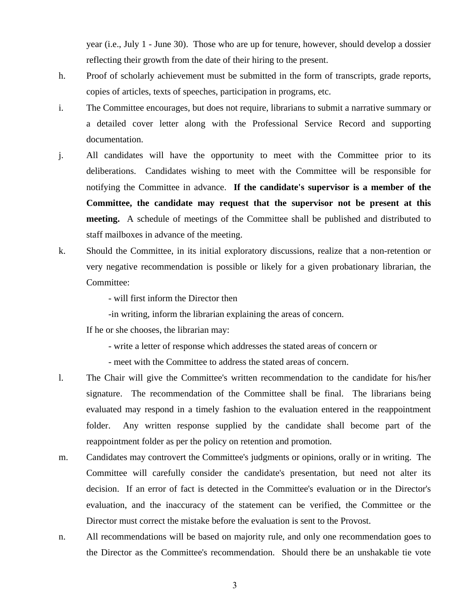year (i.e., July 1 - June 30). Those who are up for tenure, however, should develop a dossier reflecting their growth from the date of their hiring to the present.

- h. Proof of scholarly achievement must be submitted in the form of transcripts, grade reports, copies of articles, texts of speeches, participation in programs, etc.
- i. The Committee encourages, but does not require, librarians to submit a narrative summary or a detailed cover letter along with the Professional Service Record and supporting documentation.
- j. All candidates will have the opportunity to meet with the Committee prior to its deliberations. Candidates wishing to meet with the Committee will be responsible for notifying the Committee in advance. **If the candidate's supervisor is a member of the Committee, the candidate may request that the supervisor not be present at this meeting.** A schedule of meetings of the Committee shall be published and distributed to staff mailboxes in advance of the meeting.
- k. Should the Committee, in its initial exploratory discussions, realize that a non-retention or very negative recommendation is possible or likely for a given probationary librarian, the Committee:

- will first inform the Director then

-in writing, inform the librarian explaining the areas of concern.

If he or she chooses, the librarian may:

- write a letter of response which addresses the stated areas of concern or
- meet with the Committee to address the stated areas of concern.
- l. The Chair will give the Committee's written recommendation to the candidate for his/her signature. The recommendation of the Committee shall be final. The librarians being evaluated may respond in a timely fashion to the evaluation entered in the reappointment folder. Any written response supplied by the candidate shall become part of the reappointment folder as per the policy on retention and promotion.
- m. Candidates may controvert the Committee's judgments or opinions, orally or in writing. The Committee will carefully consider the candidate's presentation, but need not alter its decision. If an error of fact is detected in the Committee's evaluation or in the Director's evaluation, and the inaccuracy of the statement can be verified, the Committee or the Director must correct the mistake before the evaluation is sent to the Provost.
- n. All recommendations will be based on majority rule, and only one recommendation goes to the Director as the Committee's recommendation. Should there be an unshakable tie vote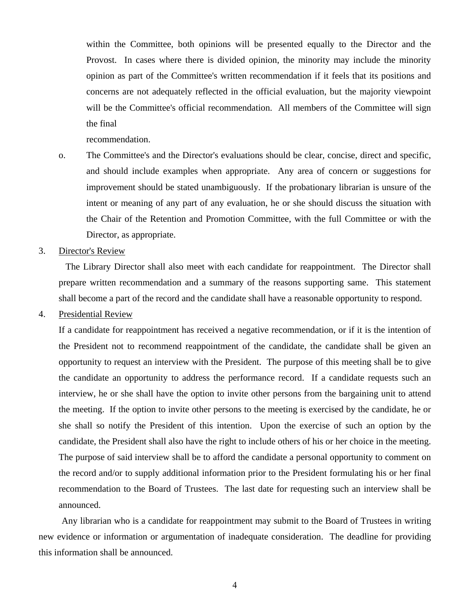within the Committee, both opinions will be presented equally to the Director and the Provost. In cases where there is divided opinion, the minority may include the minority opinion as part of the Committee's written recommendation if it feels that its positions and concerns are not adequately reflected in the official evaluation, but the majority viewpoint will be the Committee's official recommendation. All members of the Committee will sign the final

recommendation.

- o. The Committee's and the Director's evaluations should be clear, concise, direct and specific, and should include examples when appropriate. Any area of concern or suggestions for improvement should be stated unambiguously. If the probationary librarian is unsure of the intent or meaning of any part of any evaluation, he or she should discuss the situation with the Chair of the Retention and Promotion Committee, with the full Committee or with the Director, as appropriate.
- 3. Director's Review

 The Library Director shall also meet with each candidate for reappointment. The Director shall prepare written recommendation and a summary of the reasons supporting same. This statement shall become a part of the record and the candidate shall have a reasonable opportunity to respond.

4. Presidential Review

If a candidate for reappointment has received a negative recommendation, or if it is the intention of the President not to recommend reappointment of the candidate, the candidate shall be given an opportunity to request an interview with the President. The purpose of this meeting shall be to give the candidate an opportunity to address the performance record. If a candidate requests such an interview, he or she shall have the option to invite other persons from the bargaining unit to attend the meeting. If the option to invite other persons to the meeting is exercised by the candidate, he or she shall so notify the President of this intention. Upon the exercise of such an option by the candidate, the President shall also have the right to include others of his or her choice in the meeting. The purpose of said interview shall be to afford the candidate a personal opportunity to comment on the record and/or to supply additional information prior to the President formulating his or her final recommendation to the Board of Trustees. The last date for requesting such an interview shall be announced.

 Any librarian who is a candidate for reappointment may submit to the Board of Trustees in writing new evidence or information or argumentation of inadequate consideration. The deadline for providing this information shall be announced.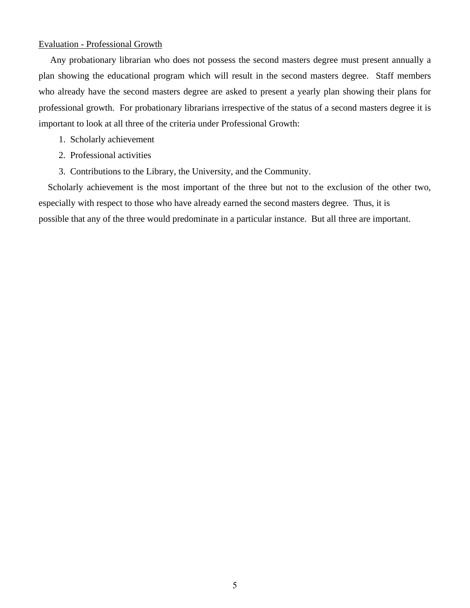### Evaluation - Professional Growth

 Any probationary librarian who does not possess the second masters degree must present annually a plan showing the educational program which will result in the second masters degree. Staff members who already have the second masters degree are asked to present a yearly plan showing their plans for professional growth. For probationary librarians irrespective of the status of a second masters degree it is important to look at all three of the criteria under Professional Growth:

- 1. Scholarly achievement
- 2. Professional activities
- 3. Contributions to the Library, the University, and the Community.

 Scholarly achievement is the most important of the three but not to the exclusion of the other two, especially with respect to those who have already earned the second masters degree. Thus, it is possible that any of the three would predominate in a particular instance. But all three are important.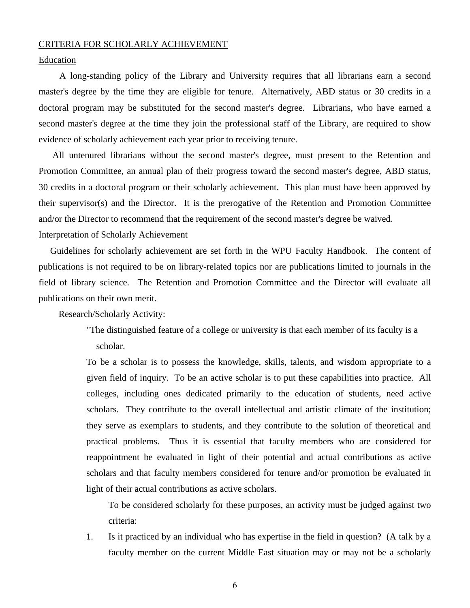#### CRITERIA FOR SCHOLARLY ACHIEVEMENT

### Education

 A long-standing policy of the Library and University requires that all librarians earn a second master's degree by the time they are eligible for tenure. Alternatively, ABD status or 30 credits in a doctoral program may be substituted for the second master's degree. Librarians, who have earned a second master's degree at the time they join the professional staff of the Library, are required to show evidence of scholarly achievement each year prior to receiving tenure.

 All untenured librarians without the second master's degree, must present to the Retention and Promotion Committee, an annual plan of their progress toward the second master's degree, ABD status, 30 credits in a doctoral program or their scholarly achievement. This plan must have been approved by their supervisor(s) and the Director. It is the prerogative of the Retention and Promotion Committee and/or the Director to recommend that the requirement of the second master's degree be waived.

### Interpretation of Scholarly Achievement

 Guidelines for scholarly achievement are set forth in the WPU Faculty Handbook. The content of publications is not required to be on library-related topics nor are publications limited to journals in the field of library science. The Retention and Promotion Committee and the Director will evaluate all publications on their own merit.

Research/Scholarly Activity:

"The distinguished feature of a college or university is that each member of its faculty is a scholar.

To be a scholar is to possess the knowledge, skills, talents, and wisdom appropriate to a given field of inquiry. To be an active scholar is to put these capabilities into practice. All colleges, including ones dedicated primarily to the education of students, need active scholars. They contribute to the overall intellectual and artistic climate of the institution; they serve as exemplars to students, and they contribute to the solution of theoretical and practical problems. Thus it is essential that faculty members who are considered for reappointment be evaluated in light of their potential and actual contributions as active scholars and that faculty members considered for tenure and/or promotion be evaluated in light of their actual contributions as active scholars.

 To be considered scholarly for these purposes, an activity must be judged against two criteria:

1. Is it practiced by an individual who has expertise in the field in question? (A talk by a faculty member on the current Middle East situation may or may not be a scholarly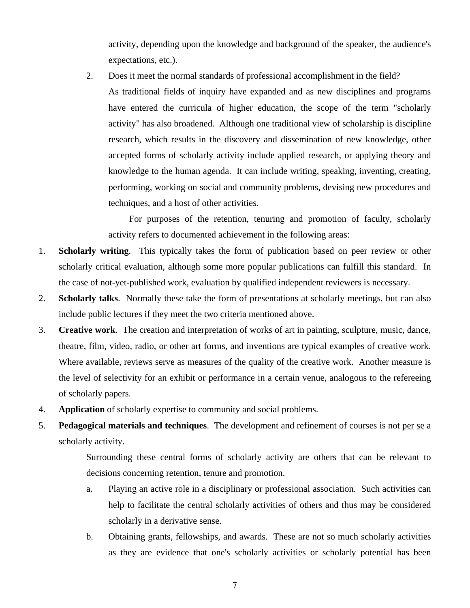activity, depending upon the knowledge and background of the speaker, the audience's expectations, etc.).

2. Does it meet the normal standards of professional accomplishment in the field?

As traditional fields of inquiry have expanded and as new disciplines and programs have entered the curricula of higher education, the scope of the term "scholarly activity" has also broadened. Although one traditional view of scholarship is discipline research, which results in the discovery and dissemination of new knowledge, other accepted forms of scholarly activity include applied research, or applying theory and knowledge to the human agenda. It can include writing, speaking, inventing, creating, performing, working on social and community problems, devising new procedures and techniques, and a host of other activities.

 For purposes of the retention, tenuring and promotion of faculty, scholarly activity refers to documented achievement in the following areas:

- 1. **Scholarly writing**. This typically takes the form of publication based on peer review or other scholarly critical evaluation, although some more popular publications can fulfill this standard. In the case of not-yet-published work, evaluation by qualified independent reviewers is necessary.
- 2. **Scholarly talks**. Normally these take the form of presentations at scholarly meetings, but can also include public lectures if they meet the two criteria mentioned above.
- 3. **Creative work**. The creation and interpretation of works of art in painting, sculpture, music, dance, theatre, film, video, radio, or other art forms, and inventions are typical examples of creative work. Where available, reviews serve as measures of the quality of the creative work. Another measure is the level of selectivity for an exhibit or performance in a certain venue, analogous to the refereeing of scholarly papers.
- 4. **Application** of scholarly expertise to community and social problems.
- 5. **Pedagogical materials and techniques**. The development and refinement of courses is not per se a scholarly activity.

Surrounding these central forms of scholarly activity are others that can be relevant to decisions concerning retention, tenure and promotion.

- a. Playing an active role in a disciplinary or professional association. Such activities can help to facilitate the central scholarly activities of others and thus may be considered scholarly in a derivative sense.
- b. Obtaining grants, fellowships, and awards. These are not so much scholarly activities as they are evidence that one's scholarly activities or scholarly potential has been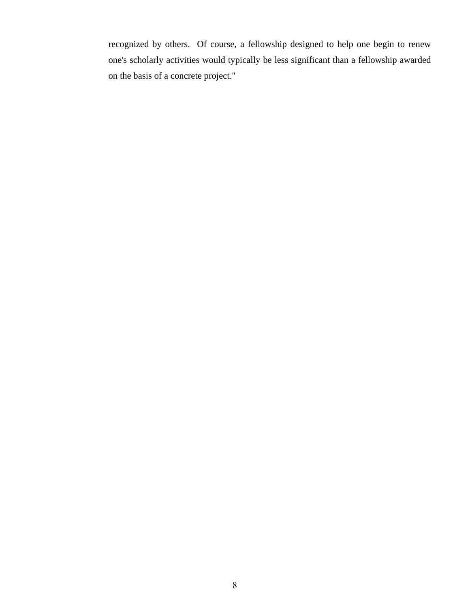recognized by others. Of course, a fellowship designed to help one begin to renew one's scholarly activities would typically be less significant than a fellowship awarded on the basis of a concrete project."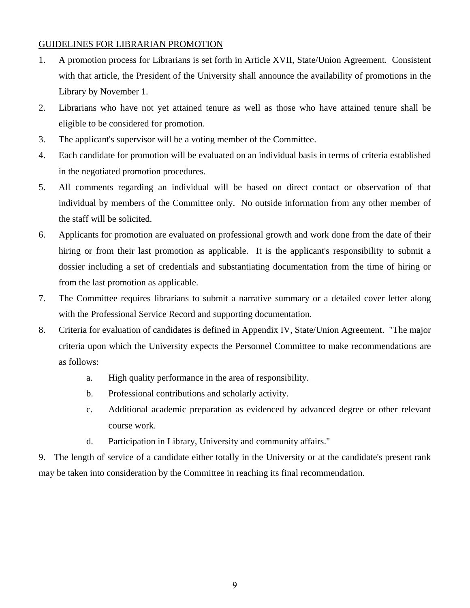# GUIDELINES FOR LIBRARIAN PROMOTION

- 1. A promotion process for Librarians is set forth in Article XVII, State/Union Agreement. Consistent with that article, the President of the University shall announce the availability of promotions in the Library by November 1.
- 2. Librarians who have not yet attained tenure as well as those who have attained tenure shall be eligible to be considered for promotion.
- 3. The applicant's supervisor will be a voting member of the Committee.
- 4. Each candidate for promotion will be evaluated on an individual basis in terms of criteria established in the negotiated promotion procedures.
- 5. All comments regarding an individual will be based on direct contact or observation of that individual by members of the Committee only. No outside information from any other member of the staff will be solicited.
- 6. Applicants for promotion are evaluated on professional growth and work done from the date of their hiring or from their last promotion as applicable. It is the applicant's responsibility to submit a dossier including a set of credentials and substantiating documentation from the time of hiring or from the last promotion as applicable.
- 7. The Committee requires librarians to submit a narrative summary or a detailed cover letter along with the Professional Service Record and supporting documentation.
- 8. Criteria for evaluation of candidates is defined in Appendix IV, State/Union Agreement. "The major criteria upon which the University expects the Personnel Committee to make recommendations are as follows:
	- a. High quality performance in the area of responsibility.
	- b. Professional contributions and scholarly activity.
	- c. Additional academic preparation as evidenced by advanced degree or other relevant course work.
	- d. Participation in Library, University and community affairs."

9. The length of service of a candidate either totally in the University or at the candidate's present rank may be taken into consideration by the Committee in reaching its final recommendation.